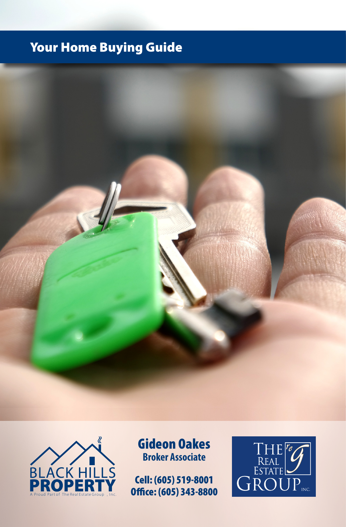## Your Home Buying Guide





Gideon Oakes **Broker Associate**

Cell: (605) 519-8001 Office: (605) 343-8800

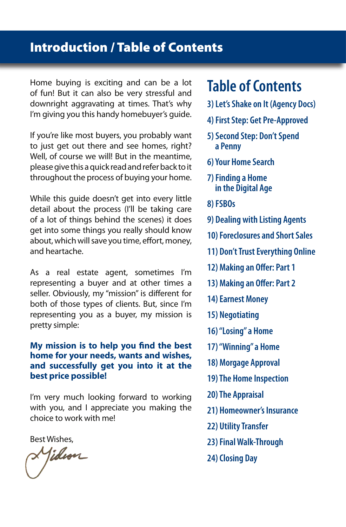### Introduction / Table of Contents

Home buying is exciting and can be a lot of fun! But it can also be very stressful and downright aggravating at times. That's why I'm giving you this handy homebuyer's guide.

If you're like most buyers, you probably want to just get out there and see homes, right? Well, of course we will! But in the meantime, please give this a quick read and refer back to it throughout the process of buying your home.

While this guide doesn't get into every little detail about the process (I'll be taking care of a lot of things behind the scenes) it does get into some things you really should know about, which will save you time, effort, money, and heartache.

As a real estate agent, sometimes I'm representing a buyer and at other times a seller. Obviously, my "mission" is different for both of those types of clients. But, since I'm representing you as a buyer, my mission is pretty simple:

### **My mission is to help you find the best home for your needs, wants and wishes, and successfully get you into it at the best price possible!**

I'm very much looking forward to working with you, and I appreciate you making the choice to work with me!

Best Wishes,<br>**A Ji***dion* 

# **Table of Contents**

- **3) Let's Shake on It (Agency Docs)**
- **4) First Step: Get Pre-Approved**
- **5) Second Step: Don't Spend a Penny**
- **6) Your Home Search**
- **7) Finding a Home in the Digital Age**
- **8) FSBOs**
- **9) Dealing with Listing Agents**
- **10) Foreclosures and Short Sales**
- **11) Don't Trust Everything Online**
- **12) Making an Offer: Part 1**
- **13) Making an Offer: Part 2**
- **14) Earnest Money**
- **15) Negotiating**
- **16) "Losing" a Home**
- **17) "Winning" a Home**
- **18) Morgage Approval**
- **19) The Home Inspection**
- **20) The Appraisal**
- **21) Homeowner's Insurance**
- **22) Utility Transfer**
- **23) Final Walk-Through**
- **24) Closing Day**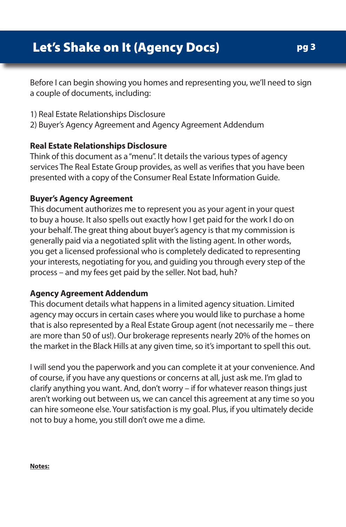Before I can begin showing you homes and representing you, we'll need to sign a couple of documents, including:

- 1) Real Estate Relationships Disclosure
- 2) Buyer's Agency Agreement and Agency Agreement Addendum

### **Real Estate Relationships Disclosure**

Think of this document as a "menu". It details the various types of agency services The Real Estate Group provides, as well as verifies that you have been presented with a copy of the Consumer Real Estate Information Guide.

### **Buyer's Agency Agreement**

This document authorizes me to represent you as your agent in your quest to buy a house. It also spells out exactly how I get paid for the work I do on your behalf. The great thing about buyer's agency is that my commission is generally paid via a negotiated split with the listing agent. In other words, you get a licensed professional who is completely dedicated to representing your interests, negotiating for you, and guiding you through every step of the process – and my fees get paid by the seller. Not bad, huh?

### **Agency Agreement Addendum**

This document details what happens in a limited agency situation. Limited agency may occurs in certain cases where you would like to purchase a home that is also represented by a Real Estate Group agent (not necessarily me – there are more than 50 of us!). Our brokerage represents nearly 20% of the homes on the market in the Black Hills at any given time, so it's important to spell this out.

I will send you the paperwork and you can complete it at your convenience. And of course, if you have any questions or concerns at all, just ask me. I'm glad to clarify anything you want. And, don't worry – if for whatever reason things just aren't working out between us, we can cancel this agreement at any time so you can hire someone else. Your satisfaction is my goal. Plus, if you ultimately decide not to buy a home, you still don't owe me a dime.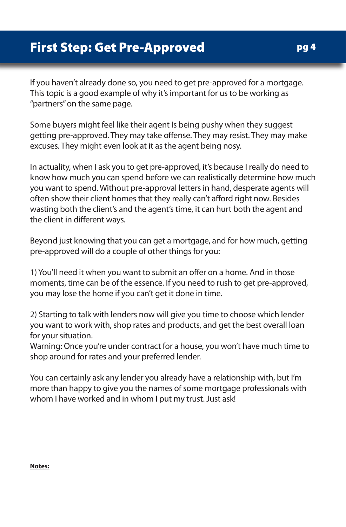### First Step: Get Pre-Approved

If you haven't already done so, you need to get pre-approved for a mortgage. This topic is a good example of why it's important for us to be working as "partners" on the same page.

Some buyers might feel like their agent Is being pushy when they suggest getting pre-approved. They may take offense. They may resist. They may make excuses. They might even look at it as the agent being nosy.

In actuality, when I ask you to get pre-approved, it's because I really do need to know how much you can spend before we can realistically determine how much you want to spend. Without pre-approval letters in hand, desperate agents will often show their client homes that they really can't afford right now. Besides wasting both the client's and the agent's time, it can hurt both the agent and the client in different ways.

Beyond just knowing that you can get a mortgage, and for how much, getting pre-approved will do a couple of other things for you:

1) You'll need it when you want to submit an offer on a home. And in those moments, time can be of the essence. If you need to rush to get pre-approved, you may lose the home if you can't get it done in time.

2) Starting to talk with lenders now will give you time to choose which lender you want to work with, shop rates and products, and get the best overall loan for your situation.

Warning: Once you're under contract for a house, you won't have much time to shop around for rates and your preferred lender.

You can certainly ask any lender you already have a relationship with, but I'm more than happy to give you the names of some mortgage professionals with whom I have worked and in whom I put my trust. Just ask!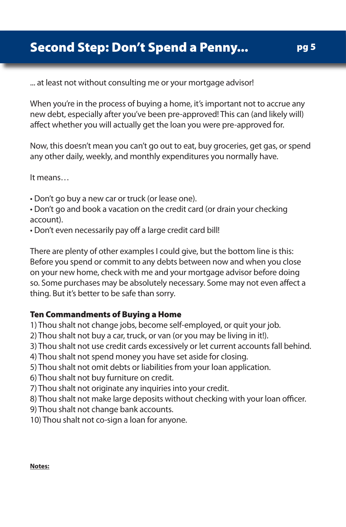... at least not without consulting me or your mortgage advisor!

When you're in the process of buying a home, it's important not to accrue any new debt, especially after you've been pre-approved! This can (and likely will) affect whether you will actually get the loan you were pre-approved for.

Now, this doesn't mean you can't go out to eat, buy groceries, get gas, or spend any other daily, weekly, and monthly expenditures you normally have.

It means…

- Don't go buy a new car or truck (or lease one).
- Don't go and book a vacation on the credit card (or drain your checking account).
- Don't even necessarily pay off a large credit card bill!

There are plenty of other examples I could give, but the bottom line is this: Before you spend or commit to any debts between now and when you close on your new home, check with me and your mortgage advisor before doing so. Some purchases may be absolutely necessary. Some may not even affect a thing. But it's better to be safe than sorry.

### Ten Commandments of Buying a Home

- 1) Thou shalt not change jobs, become self-employed, or quit your job.
- 2) Thou shalt not buy a car, truck, or van (or you may be living in it!).
- 3) Thou shalt not use credit cards excessively or let current accounts fall behind.
- 4) Thou shalt not spend money you have set aside for closing.
- 5) Thou shalt not omit debts or liabilities from your loan application.
- 6) Thou shalt not buy furniture on credit.
- 7) Thou shalt not originate any inquiries into your credit.
- 8) Thou shalt not make large deposits without checking with your loan officer.
- 9) Thou shalt not change bank accounts.
- 10) Thou shalt not co-sign a loan for anyone.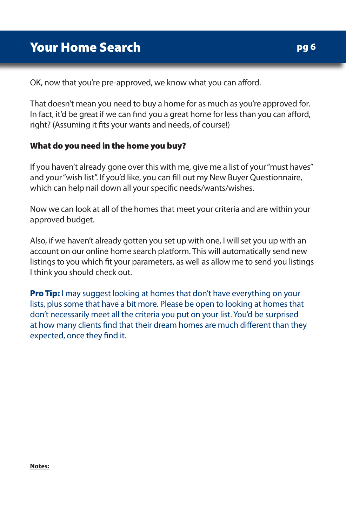OK, now that you're pre-approved, we know what you can afford.

That doesn't mean you need to buy a home for as much as you're approved for. In fact, it'd be great if we can find you a great home for less than you can afford, right? (Assuming it fits your wants and needs, of course!)

### What do you need in the home you buy?

If you haven't already gone over this with me, give me a list of your "must haves" and your "wish list". If you'd like, you can fill out my New Buyer Questionnaire, which can help nail down all your specific needs/wants/wishes.

Now we can look at all of the homes that meet your criteria and are within your approved budget.

Also, if we haven't already gotten you set up with one, I will set you up with an account on our online home search platform. This will automatically send new listings to you which fit your parameters, as well as allow me to send you listings I think you should check out.

**Pro Tip:** I may suggest looking at homes that don't have everything on your lists, plus some that have a bit more. Please be open to looking at homes that don't necessarily meet all the criteria you put on your list. You'd be surprised at how many clients find that their dream homes are much different than they expected, once they find it.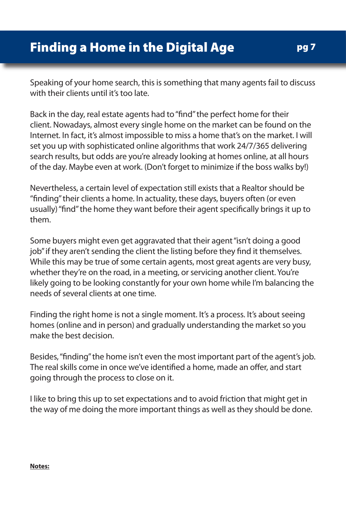Speaking of your home search, this is something that many agents fail to discuss with their clients until it's too late.

Back in the day, real estate agents had to "find" the perfect home for their client. Nowadays, almost every single home on the market can be found on the Internet. In fact, it's almost impossible to miss a home that's on the market. I will set you up with sophisticated online algorithms that work 24/7/365 delivering search results, but odds are you're already looking at homes online, at all hours of the day. Maybe even at work. (Don't forget to minimize if the boss walks by!)

Nevertheless, a certain level of expectation still exists that a Realtor should be "finding" their clients a home. In actuality, these days, buyers often (or even usually) "find" the home they want before their agent specifically brings it up to them.

Some buyers might even get aggravated that their agent "isn't doing a good job" if they aren't sending the client the listing before they find it themselves. While this may be true of some certain agents, most great agents are very busy, whether they're on the road, in a meeting, or servicing another client. You're likely going to be looking constantly for your own home while I'm balancing the needs of several clients at one time.

Finding the right home is not a single moment. It's a process. It's about seeing homes (online and in person) and gradually understanding the market so you make the best decision.

Besides, "finding" the home isn't even the most important part of the agent's job. The real skills come in once we've identified a home, made an offer, and start going through the process to close on it.

I like to bring this up to set expectations and to avoid friction that might get in the way of me doing the more important things as well as they should be done.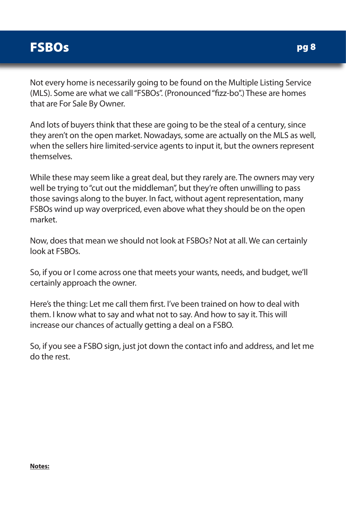## **FSBOs**

Not every home is necessarily going to be found on the Multiple Listing Service (MLS). Some are what we call "FSBOs". (Pronounced "fizz-bo".) These are homes that are For Sale By Owner.

And lots of buyers think that these are going to be the steal of a century, since they aren't on the open market. Nowadays, some are actually on the MLS as well, when the sellers hire limited-service agents to input it, but the owners represent themselves.

While these may seem like a great deal, but they rarely are. The owners may very well be trying to "cut out the middleman", but they're often unwilling to pass those savings along to the buyer. In fact, without agent representation, many FSBOs wind up way overpriced, even above what they should be on the open market.

Now, does that mean we should not look at FSBOs? Not at all. We can certainly look at FSBOs.

So, if you or I come across one that meets your wants, needs, and budget, we'll certainly approach the owner.

Here's the thing: Let me call them first. I've been trained on how to deal with them. I know what to say and what not to say. And how to say it. This will increase our chances of actually getting a deal on a FSBO.

So, if you see a FSBO sign, just jot down the contact info and address, and let me do the rest.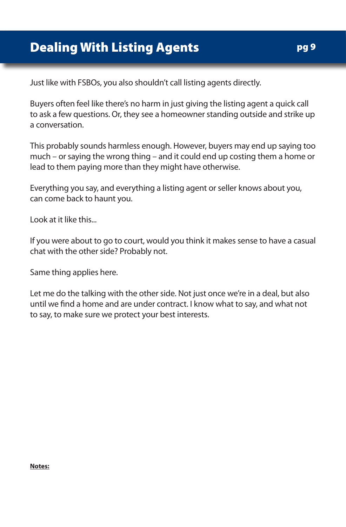Just like with FSBOs, you also shouldn't call listing agents directly.

Buyers often feel like there's no harm in just giving the listing agent a quick call to ask a few questions. Or, they see a homeowner standing outside and strike up a conversation.

This probably sounds harmless enough. However, buyers may end up saying too much – or saying the wrong thing – and it could end up costing them a home or lead to them paying more than they might have otherwise.

Everything you say, and everything a listing agent or seller knows about you, can come back to haunt you.

Look at it like this...

If you were about to go to court, would you think it makes sense to have a casual chat with the other side? Probably not.

Same thing applies here.

Let me do the talking with the other side. Not just once we're in a deal, but also until we find a home and are under contract. I know what to say, and what not to say, to make sure we protect your best interests.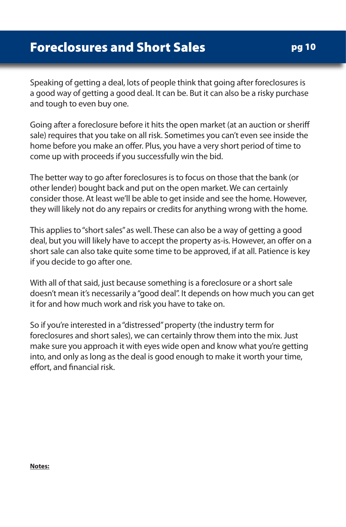Speaking of getting a deal, lots of people think that going after foreclosures is a good way of getting a good deal. It can be. But it can also be a risky purchase and tough to even buy one.

Going after a foreclosure before it hits the open market (at an auction or sheriff sale) requires that you take on all risk. Sometimes you can't even see inside the home before you make an offer. Plus, you have a very short period of time to come up with proceeds if you successfully win the bid.

The better way to go after foreclosures is to focus on those that the bank (or other lender) bought back and put on the open market. We can certainly consider those. At least we'll be able to get inside and see the home. However, they will likely not do any repairs or credits for anything wrong with the home.

This applies to "short sales" as well. These can also be a way of getting a good deal, but you will likely have to accept the property as-is. However, an offer on a short sale can also take quite some time to be approved, if at all. Patience is key if you decide to go after one.

With all of that said, just because something is a foreclosure or a short sale doesn't mean it's necessarily a "good deal". It depends on how much you can get it for and how much work and risk you have to take on.

So if you're interested in a "distressed" property (the industry term for foreclosures and short sales), we can certainly throw them into the mix. Just make sure you approach it with eyes wide open and know what you're getting into, and only as long as the deal is good enough to make it worth your time, effort, and financial risk.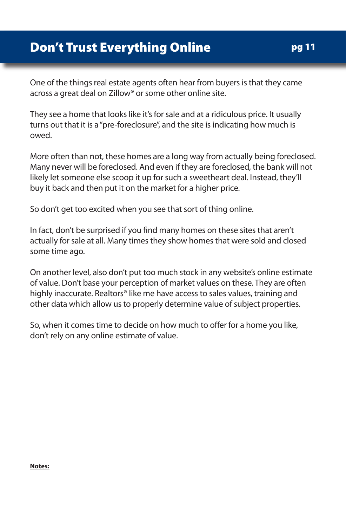### Don't Trust Everything Online

One of the things real estate agents often hear from buyers is that they came across a great deal on Zillow® or some other online site.

They see a home that looks like it's for sale and at a ridiculous price. It usually turns out that it is a "pre-foreclosure", and the site is indicating how much is owed.

More often than not, these homes are a long way from actually being foreclosed. Many never will be foreclosed. And even if they are foreclosed, the bank will not likely let someone else scoop it up for such a sweetheart deal. Instead, they'll buy it back and then put it on the market for a higher price.

So don't get too excited when you see that sort of thing online.

In fact, don't be surprised if you find many homes on these sites that aren't actually for sale at all. Many times they show homes that were sold and closed some time ago.

On another level, also don't put too much stock in any website's online estimate of value. Don't base your perception of market values on these. They are often highly inaccurate. Realtors® like me have access to sales values, training and other data which allow us to properly determine value of subject properties.

So, when it comes time to decide on how much to offer for a home you like, don't rely on any online estimate of value.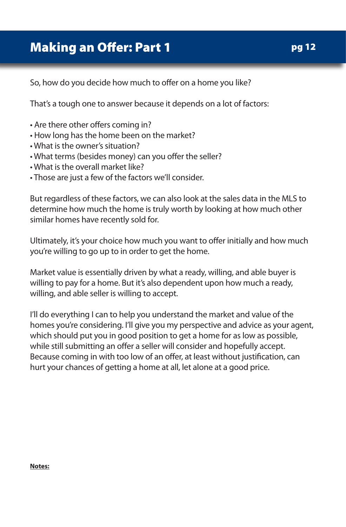## Making an Offer: Part 1

So, how do you decide how much to offer on a home you like?

That's a tough one to answer because it depends on a lot of factors:

- Are there other offers coming in?
- How long has the home been on the market?
- What is the owner's situation?
- What terms (besides money) can you offer the seller?
- What is the overall market like?
- Those are just a few of the factors we'll consider.

But regardless of these factors, we can also look at the sales data in the MLS to determine how much the home is truly worth by looking at how much other similar homes have recently sold for.

Ultimately, it's your choice how much you want to offer initially and how much you're willing to go up to in order to get the home.

Market value is essentially driven by what a ready, willing, and able buyer is willing to pay for a home. But it's also dependent upon how much a ready, willing, and able seller is willing to accept.

I'll do everything I can to help you understand the market and value of the homes you're considering. I'll give you my perspective and advice as your agent, which should put you in good position to get a home for as low as possible, while still submitting an offer a seller will consider and hopefully accept. Because coming in with too low of an offer, at least without justification, can hurt your chances of getting a home at all, let alone at a good price.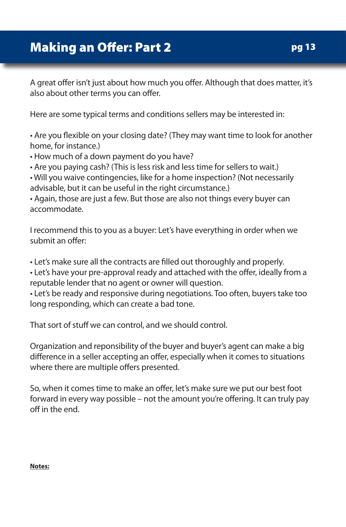## Making an Offer: Part 2

A great offer isn't just about how much you offer. Although that does matter, it's also about other terms you can offer.

Here are some typical terms and conditions sellers may be interested in:

• Are you flexible on your closing date? (They may want time to look for another home, for instance.)

• How much of a down payment do you have?

• Are you paying cash? (This is less risk and less time for sellers to wait.)

• Will you waive contingencies, like for a home inspection? (Not necessarily advisable, but it can be useful in the right circumstance.)

• Again, those are just a few. But those are also not things every buyer can accommodate.

I recommend this to you as a buyer: Let's have everything in order when we submit an offer:

• Let's make sure all the contracts are filled out thoroughly and properly.

• Let's have your pre-approval ready and attached with the offer, ideally from a reputable lender that no agent or owner will question.

• Let's be ready and responsive during negotiations. Too often, buyers take too long responding, which can create a bad tone.

That sort of stuff we can control, and we should control.

Organization and reponsibility of the buyer and buyer's agent can make a big difference in a seller accepting an offer, especially when it comes to situations where there are multiple offers presented.

So, when it comes time to make an offer, let's make sure we put our best foot forward in every way possible – not the amount you're offering. It can truly pay off in the end.

pg 13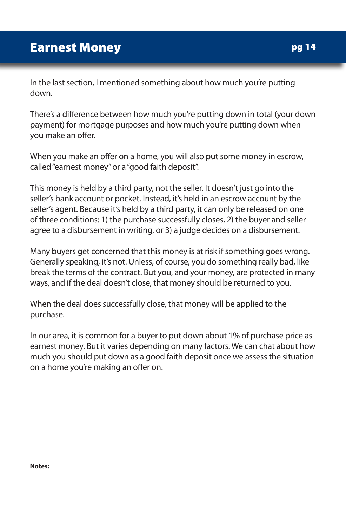In the last section, I mentioned something about how much you're putting down.

There's a difference between how much you're putting down in total (your down payment) for mortgage purposes and how much you're putting down when you make an offer.

When you make an offer on a home, you will also put some money in escrow, called "earnest money" or a "good faith deposit".

This money is held by a third party, not the seller. It doesn't just go into the seller's bank account or pocket. Instead, it's held in an escrow account by the seller's agent. Because it's held by a third party, it can only be released on one of three conditions: 1) the purchase successfully closes, 2) the buyer and seller agree to a disbursement in writing, or 3) a judge decides on a disbursement.

Many buyers get concerned that this money is at risk if something goes wrong. Generally speaking, it's not. Unless, of course, you do something really bad, like break the terms of the contract. But you, and your money, are protected in many ways, and if the deal doesn't close, that money should be returned to you.

When the deal does successfully close, that money will be applied to the purchase.

In our area, it is common for a buyer to put down about 1% of purchase price as earnest money. But it varies depending on many factors. We can chat about how much you should put down as a good faith deposit once we assess the situation on a home you're making an offer on.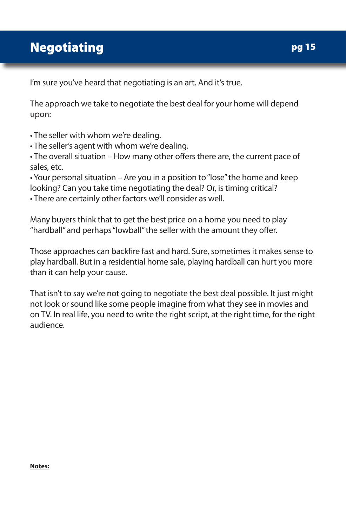## Negotiating

I'm sure you've heard that negotiating is an art. And it's true.

The approach we take to negotiate the best deal for your home will depend upon:

• The seller with whom we're dealing.

• The seller's agent with whom we're dealing.

• The overall situation – How many other offers there are, the current pace of sales, etc.

• Your personal situation – Are you in a position to "lose" the home and keep looking? Can you take time negotiating the deal? Or, is timing critical?

• There are certainly other factors we'll consider as well.

Many buyers think that to get the best price on a home you need to play "hardball" and perhaps "lowball" the seller with the amount they offer.

Those approaches can backfire fast and hard. Sure, sometimes it makes sense to play hardball. But in a residential home sale, playing hardball can hurt you more than it can help your cause.

That isn't to say we're not going to negotiate the best deal possible. It just might not look or sound like some people imagine from what they see in movies and on TV. In real life, you need to write the right script, at the right time, for the right audience.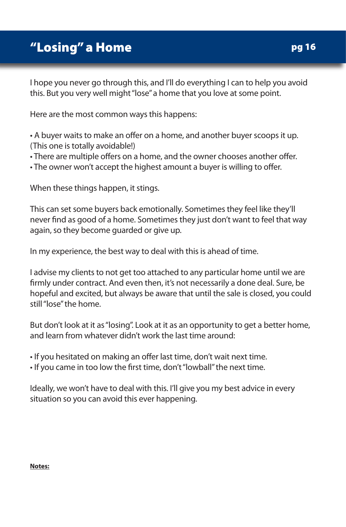## "Losing" a Home

I hope you never go through this, and I'll do everything I can to help you avoid this. But you very well might "lose" a home that you love at some point.

Here are the most common ways this happens:

• A buyer waits to make an offer on a home, and another buyer scoops it up. (This one is totally avoidable!)

• There are multiple offers on a home, and the owner chooses another offer.

• The owner won't accept the highest amount a buyer is willing to offer.

When these things happen, it stings.

This can set some buyers back emotionally. Sometimes they feel like they'll never find as good of a home. Sometimes they just don't want to feel that way again, so they become guarded or give up.

In my experience, the best way to deal with this is ahead of time.

I advise my clients to not get too attached to any particular home until we are firmly under contract. And even then, it's not necessarily a done deal. Sure, be hopeful and excited, but always be aware that until the sale is closed, you could still "lose" the home.

But don't look at it as "losing". Look at it as an opportunity to get a better home, and learn from whatever didn't work the last time around:

• If you hesitated on making an offer last time, don't wait next time.

• If you came in too low the first time, don't "lowball" the next time.

Ideally, we won't have to deal with this. I'll give you my best advice in every situation so you can avoid this ever happening.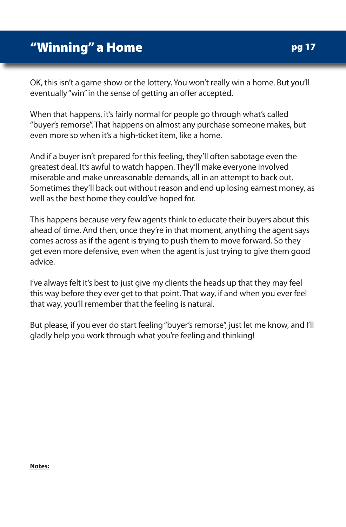OK, this isn't a game show or the lottery. You won't really win a home. But you'll eventually "win" in the sense of getting an offer accepted.

When that happens, it's fairly normal for people go through what's called "buyer's remorse". That happens on almost any purchase someone makes, but even more so when it's a high-ticket item, like a home.

And if a buyer isn't prepared for this feeling, they'll often sabotage even the greatest deal. It's awful to watch happen. They'll make everyone involved miserable and make unreasonable demands, all in an attempt to back out. Sometimes they'll back out without reason and end up losing earnest money, as well as the best home they could've hoped for.

This happens because very few agents think to educate their buyers about this ahead of time. And then, once they're in that moment, anything the agent says comes across as if the agent is trying to push them to move forward. So they get even more defensive, even when the agent is just trying to give them good advice.

I've always felt it's best to just give my clients the heads up that they may feel this way before they ever get to that point. That way, if and when you ever feel that way, you'll remember that the feeling is natural.

But please, if you ever do start feeling "buyer's remorse", just let me know, and I'll gladly help you work through what you're feeling and thinking!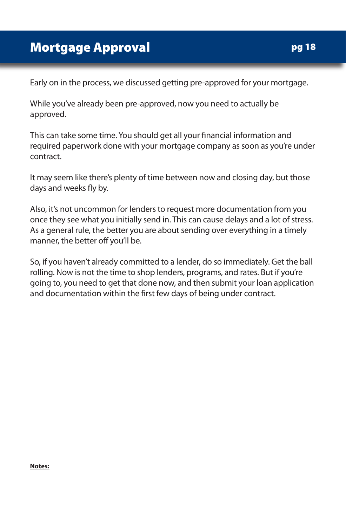Early on in the process, we discussed getting pre-approved for your mortgage.

While you've already been pre-approved, now you need to actually be approved.

This can take some time. You should get all your financial information and required paperwork done with your mortgage company as soon as you're under contract.

It may seem like there's plenty of time between now and closing day, but those days and weeks fly by.

Also, it's not uncommon for lenders to request more documentation from you once they see what you initially send in. This can cause delays and a lot of stress. As a general rule, the better you are about sending over everything in a timely manner, the better off you'll be.

So, if you haven't already committed to a lender, do so immediately. Get the ball rolling. Now is not the time to shop lenders, programs, and rates. But if you're going to, you need to get that done now, and then submit your loan application and documentation within the first few days of being under contract.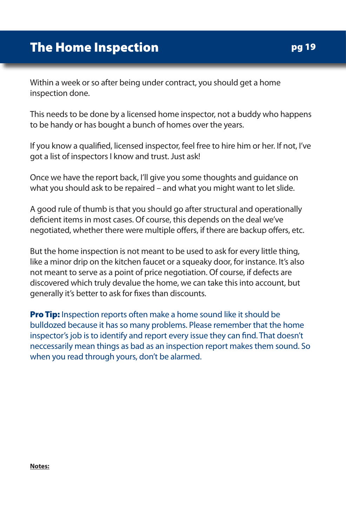Within a week or so after being under contract, you should get a home inspection done.

This needs to be done by a licensed home inspector, not a buddy who happens to be handy or has bought a bunch of homes over the years.

If you know a qualified, licensed inspector, feel free to hire him or her. If not, I've got a list of inspectors I know and trust. Just ask!

Once we have the report back, I'll give you some thoughts and guidance on what you should ask to be repaired – and what you might want to let slide.

A good rule of thumb is that you should go after structural and operationally deficient items in most cases. Of course, this depends on the deal we've negotiated, whether there were multiple offers, if there are backup offers, etc.

But the home inspection is not meant to be used to ask for every little thing, like a minor drip on the kitchen faucet or a squeaky door, for instance. It's also not meant to serve as a point of price negotiation. Of course, if defects are discovered which truly devalue the home, we can take this into account, but generally it's better to ask for fixes than discounts.

**Pro Tip:** Inspection reports often make a home sound like it should be bulldozed because it has so many problems. Please remember that the home inspector's job is to identify and report every issue they can find. That doesn't neccessarily mean things as bad as an inspection report makes them sound. So when you read through yours, don't be alarmed.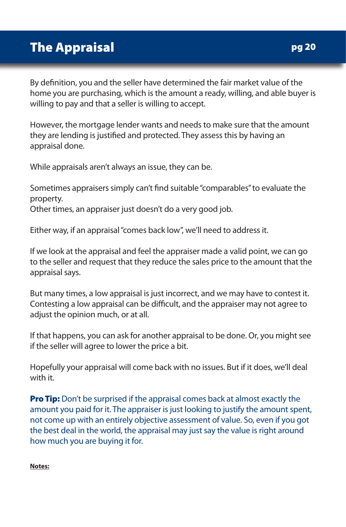By definition, you and the seller have determined the fair market value of the home you are purchasing, which is the amount a ready, willing, and able buyer is willing to pay and that a seller is willing to accept.

However, the mortgage lender wants and needs to make sure that the amount they are lending is justified and protected. They assess this by having an appraisal done.

While appraisals aren't always an issue, they can be.

Sometimes appraisers simply can't find suitable "comparables" to evaluate the property. Other times, an appraiser just doesn't do a very good job.

Either way, if an appraisal "comes back low", we'll need to address it.

If we look at the appraisal and feel the appraiser made a valid point, we can go to the seller and request that they reduce the sales price to the amount that the appraisal says.

But many times, a low appraisal is just incorrect, and we may have to contest it. Contesting a low appraisal can be difficult, and the appraiser may not agree to adjust the opinion much, or at all.

If that happens, you can ask for another appraisal to be done. Or, you might see if the seller will agree to lower the price a bit.

Hopefully your appraisal will come back with no issues. But if it does, we'll deal with it.

**Pro Tip:** Don't be surprised if the appraisal comes back at almost exactly the amount you paid for it. The appraiser is just looking to justify the amount spent, not come up with an entirely objective assessment of value. So, even if you got the best deal in the world, the appraisal may just say the value is right around how much you are buying it for.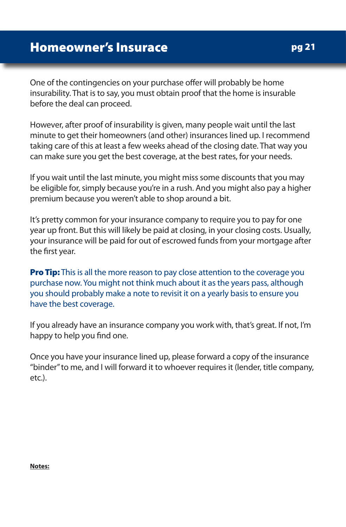One of the contingencies on your purchase offer will probably be home insurability. That is to say, you must obtain proof that the home is insurable before the deal can proceed.

However, after proof of insurability is given, many people wait until the last minute to get their homeowners (and other) insurances lined up. I recommend taking care of this at least a few weeks ahead of the closing date. That way you can make sure you get the best coverage, at the best rates, for your needs.

If you wait until the last minute, you might miss some discounts that you may be eligible for, simply because you're in a rush. And you might also pay a higher premium because you weren't able to shop around a bit.

It's pretty common for your insurance company to require you to pay for one year up front. But this will likely be paid at closing, in your closing costs. Usually, your insurance will be paid for out of escrowed funds from your mortgage after the first year.

**Pro Tip:** This is all the more reason to pay close attention to the coverage you purchase now. You might not think much about it as the years pass, although you should probably make a note to revisit it on a yearly basis to ensure you have the best coverage.

If you already have an insurance company you work with, that's great. If not, I'm happy to help you find one.

Once you have your insurance lined up, please forward a copy of the insurance "binder" to me, and I will forward it to whoever requires it (lender, title company, etc.).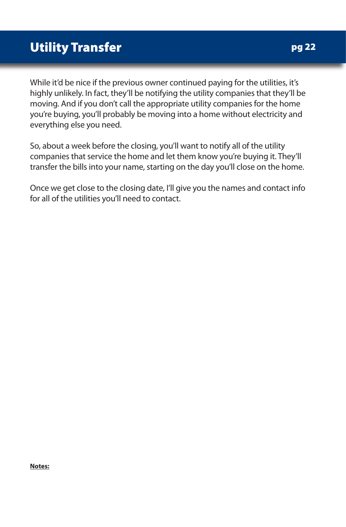While it'd be nice if the previous owner continued paying for the utilities, it's highly unlikely. In fact, they'll be notifying the utility companies that they'll be moving. And if you don't call the appropriate utility companies for the home you're buying, you'll probably be moving into a home without electricity and everything else you need.

So, about a week before the closing, you'll want to notify all of the utility companies that service the home and let them know you're buying it. They'll transfer the bills into your name, starting on the day you'll close on the home.

Once we get close to the closing date, I'll give you the names and contact info for all of the utilities you'll need to contact.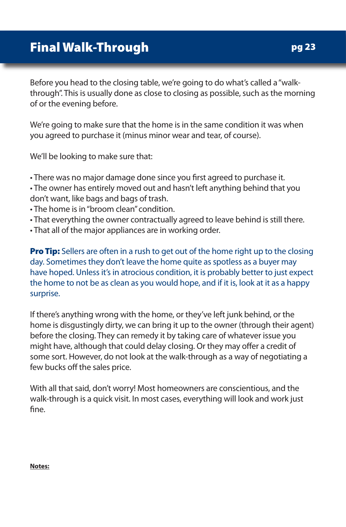Before you head to the closing table, we're going to do what's called a "walkthrough". This is usually done as close to closing as possible, such as the morning of or the evening before.

We're going to make sure that the home is in the same condition it was when you agreed to purchase it (minus minor wear and tear, of course).

We'll be looking to make sure that:

• There was no major damage done since you first agreed to purchase it.

• The owner has entirely moved out and hasn't left anything behind that you don't want, like bags and bags of trash.

- The home is in "broom clean" condition.
- That everything the owner contractually agreed to leave behind is still there.
- That all of the major appliances are in working order.

**Pro Tip:** Sellers are often in a rush to get out of the home right up to the closing day. Sometimes they don't leave the home quite as spotless as a buyer may have hoped. Unless it's in atrocious condition, it is probably better to just expect the home to not be as clean as you would hope, and if it is, look at it as a happy surprise.

If there's anything wrong with the home, or they've left junk behind, or the home is disgustingly dirty, we can bring it up to the owner (through their agent) before the closing. They can remedy it by taking care of whatever issue you might have, although that could delay closing. Or they may offer a credit of some sort. However, do not look at the walk-through as a way of negotiating a few bucks off the sales price.

With all that said, don't worry! Most homeowners are conscientious, and the walk-through is a quick visit. In most cases, everything will look and work just fine.